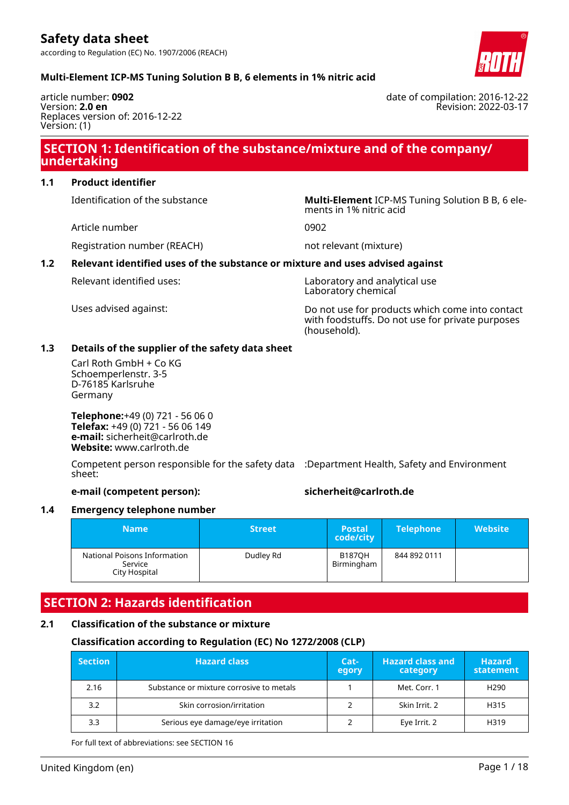date of compilation: 2016-12-22

Revision: 2022-03-17

# **Multi-Element ICP-MS Tuning Solution B B, 6 elements in 1% nitric acid**

article number: **0902** Version: **2.0 en** Replaces version of: 2016-12-22 Version: (1)

# **SECTION 1: Identification of the substance/mixture and of the company/ undertaking**

# **1.1 Product identifier**

Identification of the substance **Multi-Element** ICP-MS Tuning Solution B B, 6 ele-

Article number 0902

Registration number (REACH) not relevant (mixture)

ments in 1% nitric acid

# **1.2 Relevant identified uses of the substance or mixture and uses advised against**

Relevant identified uses: Laboratory and analytical use Laboratory chemical

Uses advised against: Do not use for products which come into contact with foodstuffs. Do not use for private purposes (household).

# **1.3 Details of the supplier of the safety data sheet**

Carl Roth GmbH + Co KG Schoemperlenstr. 3-5 D-76185 Karlsruhe Germany

**Telephone:**+49 (0) 721 - 56 06 0 **Telefax:** +49 (0) 721 - 56 06 149 **e-mail:** sicherheit@carlroth.de **Website:** www.carlroth.de

Competent person responsible for the safety data :Department Health, Safety and Environment sheet:

# **e-mail (competent person): sicherheit@carlroth.de**

### **1.4 Emergency telephone number**

| <b>Name</b>                                              | <b>Street</b> | <b>Postal</b><br>code/city  | <b>Telephone</b> | <b>Website</b> |
|----------------------------------------------------------|---------------|-----------------------------|------------------|----------------|
| National Poisons Information<br>Service<br>City Hospital | Dudley Rd     | <b>B187OH</b><br>Birmingham | 844 892 0111     |                |

# **SECTION 2: Hazards identification**

### **2.1 Classification of the substance or mixture**

# **Classification according to Regulation (EC) No 1272/2008 (CLP)**

| <b>Section</b> | <b>Hazard class</b>                      | Cat-<br>egory | <b>Hazard class and</b><br>category | <b>Hazard</b><br>statement |
|----------------|------------------------------------------|---------------|-------------------------------------|----------------------------|
| 2.16           | Substance or mixture corrosive to metals |               | Met. Corr. 1                        | H <sub>290</sub>           |
| 3.2            | Skin corrosion/irritation                |               | Skin Irrit. 2                       | H315                       |
| 3.3            | Serious eye damage/eye irritation        |               | Eye Irrit. 2                        | H319                       |

For full text of abbreviations: see SECTION 16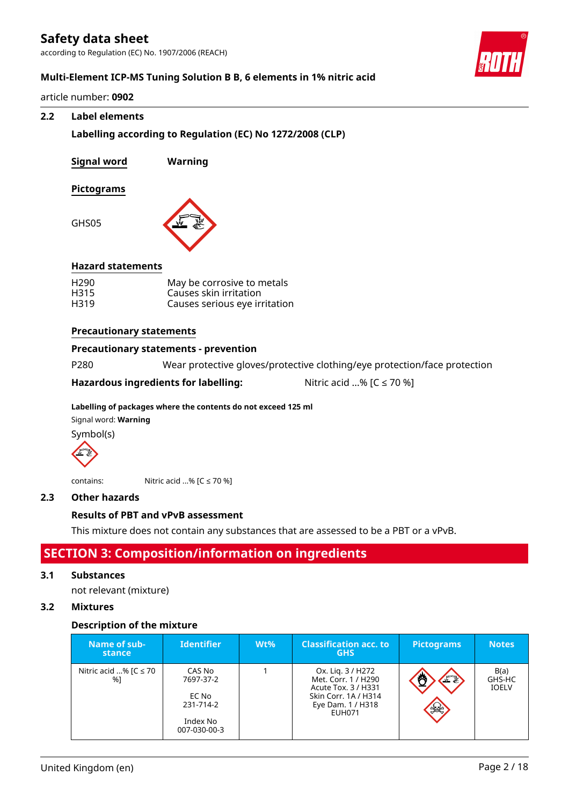according to Regulation (EC) No. 1907/2006 (REACH)

## **Multi-Element ICP-MS Tuning Solution B B, 6 elements in 1% nitric acid**

article number: **0902**

#### **2.2 Label elements**

**Labelling according to Regulation (EC) No 1272/2008 (CLP)**

Causes serious eye irritation

| Signal word              | Warning                      |
|--------------------------|------------------------------|
| Pictograms               |                              |
| GHS05                    |                              |
| <b>Hazard statements</b> |                              |
| H <sub>290</sub>         | May be corrosive to metals   |
| H315                     | Causes skin irritation       |
| H319                     | Causes serious eve irritatio |

# **Precautionary statements**

## **Precautionary statements - prevention**

P280 Wear protective gloves/protective clothing/eye protection/face protection

**Hazardous ingredients for labelling:** Nitric acid ...% [C ≤ 70 %]

## **Labelling of packages where the contents do not exceed 125 ml**

Signal word: **Warning**

Symbol(s)



contains: Nitric acid ...% [C ≤ 70 %]

### **2.3 Other hazards**

### **Results of PBT and vPvB assessment**

This mixture does not contain any substances that are assessed to be a PBT or a vPvB.

# **SECTION 3: Composition/information on ingredients**

#### **3.1 Substances**

not relevant (mixture)

## **3.2 Mixtures**

### **Description of the mixture**

| Name of sub-<br>stance           | <b>Identifier</b>                                                     | $Wt\%$ | <b>Classification acc. to</b><br><b>GHS</b>                                                                            | <b>Pictograms</b> | <b>Notes</b>                   |
|----------------------------------|-----------------------------------------------------------------------|--------|------------------------------------------------------------------------------------------------------------------------|-------------------|--------------------------------|
| Nitric acid % [ $C \le 70$<br>%1 | CAS No<br>7697-37-2<br>EC No<br>231-714-2<br>Index No<br>007-030-00-3 |        | Ox. Lig. 3 / H272<br>Met. Corr. 1 / H290<br>Acute Tox. 3 / H331<br>Skin Corr. 1A / H314<br>Eye Dam. 1 / H318<br>EUH071 | FI<br>※ を         | B(a)<br>GHS-HC<br><b>IOELV</b> |

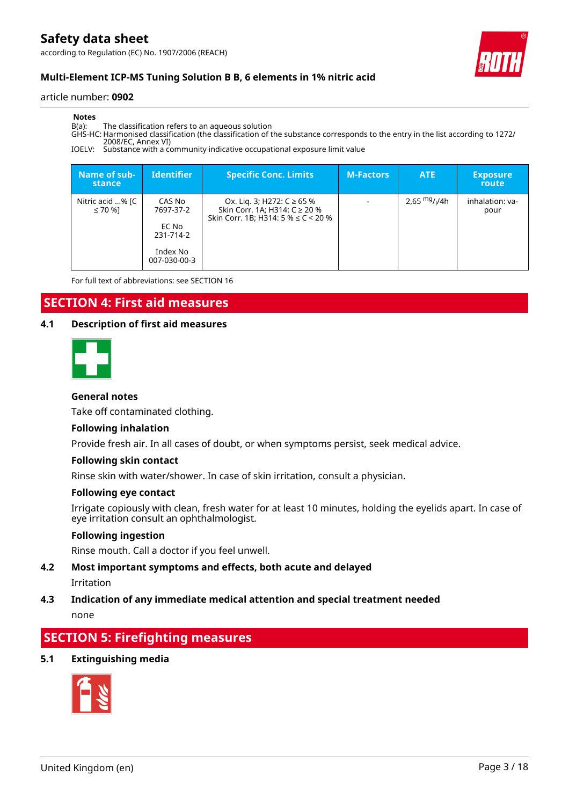according to Regulation (EC) No. 1907/2006 (REACH)



# **Multi-Element ICP-MS Tuning Solution B B, 6 elements in 1% nitric acid**

#### article number: **0902**

#### **Notes**

B(a): The classification refers to an aqueous solution

GHS-HC: Harmonised classification (the classification of the substance corresponds to the entry in the list according to 1272/ 2008/EC, Annex VI)

IOELV: Substance with a community indicative occupational exposure limit value

| Name of sub-<br>stance           | <b>Identifier</b>                                                     | <b>Specific Conc. Limits</b>                                                                            | <b>M-Factors</b>         | <b>ATE</b>     | <b>Exposure</b><br>route |
|----------------------------------|-----------------------------------------------------------------------|---------------------------------------------------------------------------------------------------------|--------------------------|----------------|--------------------------|
| Nitric acid % [C<br>$\leq 70$ %] | CAS No<br>7697-37-2<br>EC No<br>231-714-2<br>Index No<br>007-030-00-3 | Ox. Lig. 3; H272: C ≥ 65 %<br>Skin Corr. 1A; H314: C ≥ 20 %<br>Skin Corr. 1B; H314: 5 % $\leq$ C < 20 % | $\overline{\phantom{a}}$ | 2,65 $mg/1/4h$ | inhalation: va-<br>pour  |

For full text of abbreviations: see SECTION 16

# **SECTION 4: First aid measures**

### **4.1 Description of first aid measures**

#### **General notes**

Take off contaminated clothing.

#### **Following inhalation**

Provide fresh air. In all cases of doubt, or when symptoms persist, seek medical advice.

#### **Following skin contact**

Rinse skin with water/shower. In case of skin irritation, consult a physician.

#### **Following eye contact**

Irrigate copiously with clean, fresh water for at least 10 minutes, holding the eyelids apart. In case of eye irritation consult an ophthalmologist.

### **Following ingestion**

Rinse mouth. Call a doctor if you feel unwell.

### **4.2 Most important symptoms and effects, both acute and delayed**

Irritation

# **4.3 Indication of any immediate medical attention and special treatment needed**

none

# **SECTION 5: Firefighting measures**

### **5.1 Extinguishing media**

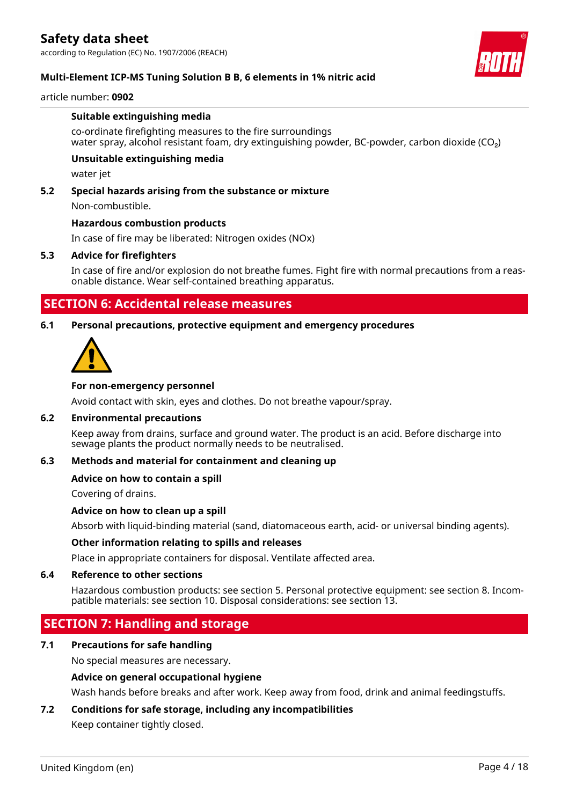according to Regulation (EC) No. 1907/2006 (REACH)



# **Multi-Element ICP-MS Tuning Solution B B, 6 elements in 1% nitric acid**

#### article number: **0902**

#### **Suitable extinguishing media**

co-ordinate firefighting measures to the fire surroundings water spray, alcohol resistant foam, dry extinguishing powder, BC-powder, carbon dioxide (CO₂)

### **Unsuitable extinguishing media**

water jet

### **5.2 Special hazards arising from the substance or mixture**

Non-combustible.

#### **Hazardous combustion products**

In case of fire may be liberated: Nitrogen oxides (NOx)

#### **5.3 Advice for firefighters**

In case of fire and/or explosion do not breathe fumes. Fight fire with normal precautions from a reasonable distance. Wear self-contained breathing apparatus.

# **SECTION 6: Accidental release measures**

#### **6.1 Personal precautions, protective equipment and emergency procedures**



#### **For non-emergency personnel**

Avoid contact with skin, eyes and clothes. Do not breathe vapour/spray.

#### **6.2 Environmental precautions**

Keep away from drains, surface and ground water. The product is an acid. Before discharge into sewage plants the product normally needs to be neutralised.

#### **6.3 Methods and material for containment and cleaning up**

### **Advice on how to contain a spill**

Covering of drains.

### **Advice on how to clean up a spill**

Absorb with liquid-binding material (sand, diatomaceous earth, acid- or universal binding agents).

#### **Other information relating to spills and releases**

Place in appropriate containers for disposal. Ventilate affected area.

#### **6.4 Reference to other sections**

Hazardous combustion products: see section 5. Personal protective equipment: see section 8. Incompatible materials: see section 10. Disposal considerations: see section 13.

# **SECTION 7: Handling and storage**

### **7.1 Precautions for safe handling**

No special measures are necessary.

### **Advice on general occupational hygiene**

Wash hands before breaks and after work. Keep away from food, drink and animal feedingstuffs.

## **7.2 Conditions for safe storage, including any incompatibilities**

Keep container tightly closed.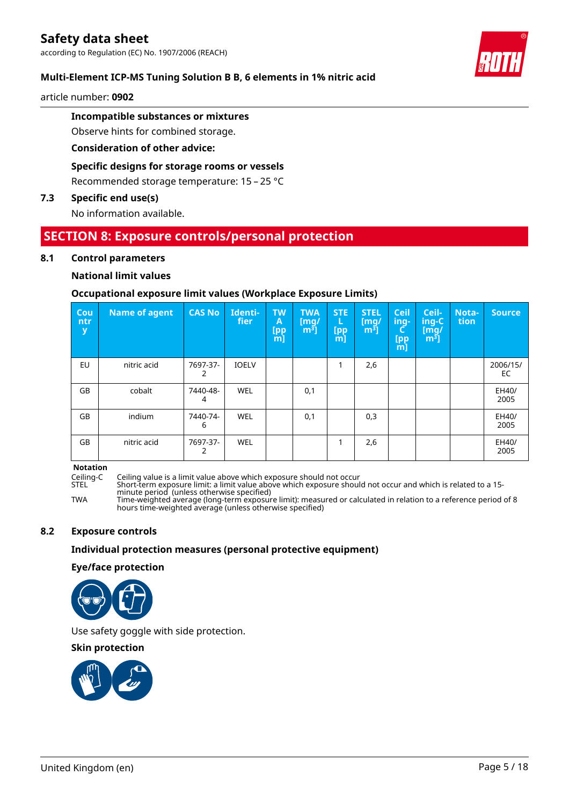# **Multi-Element ICP-MS Tuning Solution B B, 6 elements in 1% nitric acid**

article number: **0902**

# **Incompatible substances or mixtures**

Observe hints for combined storage.

**Consideration of other advice:**

# **Specific designs for storage rooms or vessels**

Recommended storage temperature: 15 – 25 °C

# **7.3 Specific end use(s)**

No information available.

# **SECTION 8: Exposure controls/personal protection**

# **8.1 Control parameters**

### **National limit values**

# **Occupational exposure limit values (Workplace Exposure Limits)**

| Cou<br>ntr<br>y | <b>Name of agent</b> | <b>CAS No</b> | Identi-<br><b>fier</b> | <b>TW</b><br>A<br>[pp<br>[m] | <b>TWA</b><br>$\mathsf{[mq]}$<br>$m3$ ] | <b>STE</b><br>L<br>[pp<br>[m] | <b>STEL</b><br>$\mathsf{[mq/}%$<br>m <sup>3</sup> | <b>Ceil</b><br>ing-<br><b>[pp</b><br>[m] | Ceil-<br>ing-C<br>$\lceil \mathsf{mq} \rceil$<br>m <sup>3</sup> | Nota-<br>tion | <b>Source</b>  |
|-----------------|----------------------|---------------|------------------------|------------------------------|-----------------------------------------|-------------------------------|---------------------------------------------------|------------------------------------------|-----------------------------------------------------------------|---------------|----------------|
| EU              | nitric acid          | 7697-37-      | <b>IOELV</b>           |                              |                                         |                               | 2,6                                               |                                          |                                                                 |               | 2006/15/<br>EC |
| GB              | cobalt               | 7440-48-<br>4 | <b>WEL</b>             |                              | 0,1                                     |                               |                                                   |                                          |                                                                 |               | EH40/<br>2005  |
| GB              | indium               | 7440-74-<br>6 | <b>WEL</b>             |                              | 0,1                                     |                               | 0,3                                               |                                          |                                                                 |               | EH40/<br>2005  |
| GB              | nitric acid          | 7697-37-      | <b>WEL</b>             |                              |                                         |                               | 2,6                                               |                                          |                                                                 |               | EH40/<br>2005  |

#### **Notation**

Ceiling-C Ceiling value is a limit value above which exposure should not occur

Short-term exposure limit: a limit value above which exposure should not occur and which is related to a 15minute period (unless otherwise specified)

TWA Time-weighted average (long-term exposure limit): measured or calculated in relation to a reference period of 8 hours time-weighted average (unless otherwise specified)

# **8.2 Exposure controls**

### **Individual protection measures (personal protective equipment)**

### **Eye/face protection**



Use safety goggle with side protection.

### **Skin protection**



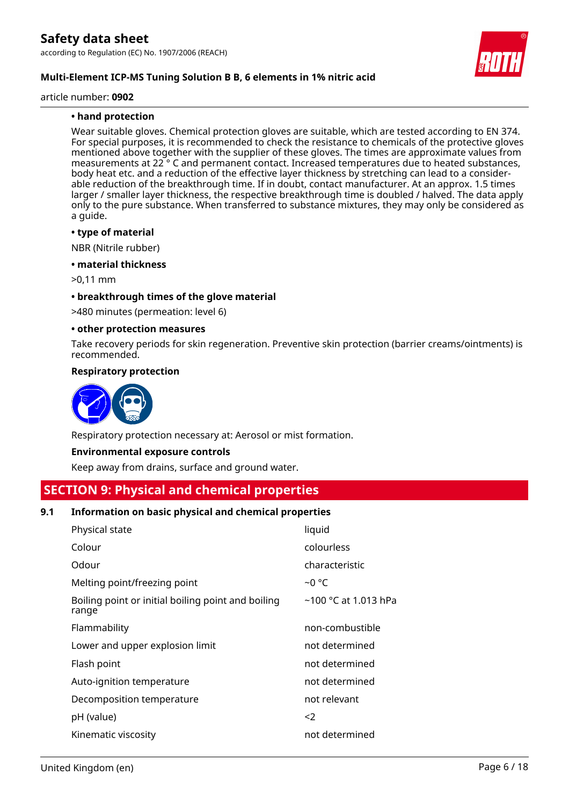

article number: **0902**

# **• hand protection**

Wear suitable gloves. Chemical protection gloves are suitable, which are tested according to EN 374. For special purposes, it is recommended to check the resistance to chemicals of the protective gloves mentioned above together with the supplier of these gloves. The times are approximate values from measurements at 22 ° C and permanent contact. Increased temperatures due to heated substances, body heat etc. and a reduction of the effective layer thickness by stretching can lead to a considerable reduction of the breakthrough time. If in doubt, contact manufacturer. At an approx. 1.5 times larger / smaller layer thickness, the respective breakthrough time is doubled / halved. The data apply only to the pure substance. When transferred to substance mixtures, they may only be considered as a guide.

#### **• type of material**

NBR (Nitrile rubber)

#### **• material thickness**

>0,11 mm

#### **• breakthrough times of the glove material**

>480 minutes (permeation: level 6)

#### **• other protection measures**

Take recovery periods for skin regeneration. Preventive skin protection (barrier creams/ointments) is recommended.

#### **Respiratory protection**



Respiratory protection necessary at: Aerosol or mist formation.

### **Environmental exposure controls**

Keep away from drains, surface and ground water.

# **SECTION 9: Physical and chemical properties**

### **9.1 Information on basic physical and chemical properties**

| Physical state                                              | liquid                 |
|-------------------------------------------------------------|------------------------|
| Colour                                                      | colourless             |
| Odour                                                       | characteristic         |
| Melting point/freezing point                                | ~0 °C                  |
| Boiling point or initial boiling point and boiling<br>range | $~100$ °C at 1.013 hPa |
| Flammability                                                | non-combustible        |
| Lower and upper explosion limit                             | not determined         |
| Flash point                                                 | not determined         |
| Auto-ignition temperature                                   | not determined         |
| Decomposition temperature                                   | not relevant           |
| pH (value)                                                  | $<$ 2                  |
| Kinematic viscosity                                         | not determined         |

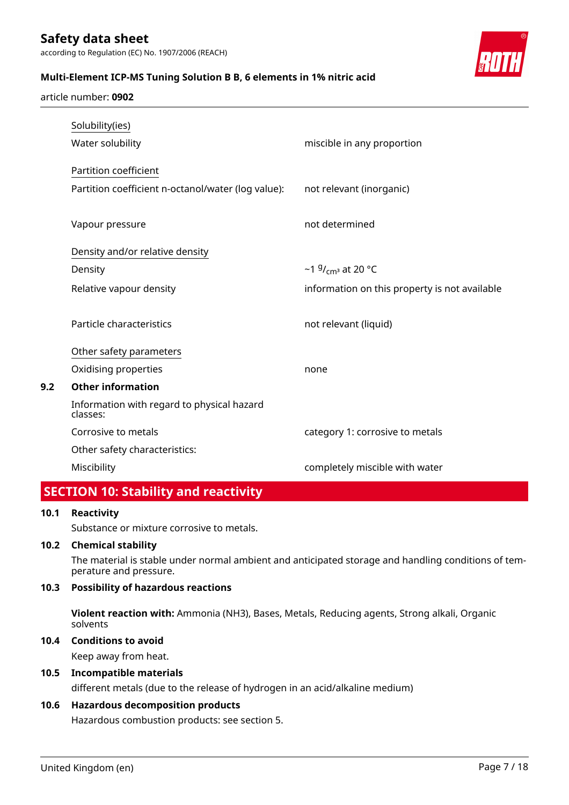**Multi-Element ICP-MS Tuning Solution B B, 6 elements in 1% nitric acid**



article number: **0902**

|     | Solubility(ies)                                        |                                               |
|-----|--------------------------------------------------------|-----------------------------------------------|
|     | Water solubility                                       | miscible in any proportion                    |
|     | Partition coefficient                                  |                                               |
|     | Partition coefficient n-octanol/water (log value):     | not relevant (inorganic)                      |
|     |                                                        |                                               |
|     | Vapour pressure                                        | not determined                                |
|     | Density and/or relative density                        |                                               |
|     | Density                                                | ~1 $9/_{cm^3}$ at 20 °C                       |
|     | Relative vapour density                                | information on this property is not available |
|     | Particle characteristics                               | not relevant (liquid)                         |
|     | Other safety parameters                                |                                               |
|     | Oxidising properties                                   | none                                          |
| 9.2 | <b>Other information</b>                               |                                               |
|     | Information with regard to physical hazard<br>classes: |                                               |
|     | Corrosive to metals                                    | category 1: corrosive to metals               |
|     | Other safety characteristics:                          |                                               |
|     | Miscibility                                            | completely miscible with water                |
|     |                                                        |                                               |

# **SECTION 10: Stability and reactivity**

### **10.1 Reactivity**

Substance or mixture corrosive to metals.

### **10.2 Chemical stability**

The material is stable under normal ambient and anticipated storage and handling conditions of temperature and pressure.

# **10.3 Possibility of hazardous reactions**

**Violent reaction with:** Ammonia (NH3), Bases, Metals, Reducing agents, Strong alkali, Organic solvents

### **10.4 Conditions to avoid**

Keep away from heat.

# **10.5 Incompatible materials**

different metals (due to the release of hydrogen in an acid/alkaline medium)

# **10.6 Hazardous decomposition products**

Hazardous combustion products: see section 5.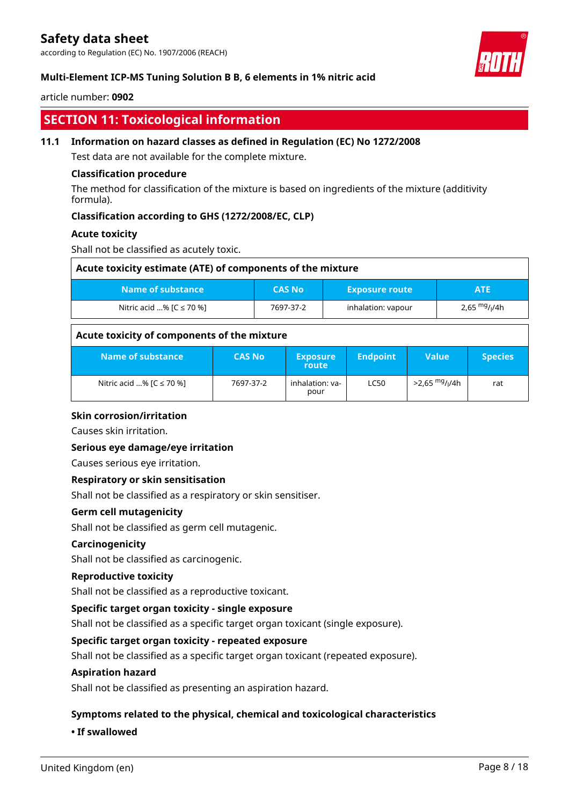according to Regulation (EC) No. 1907/2006 (REACH)

## **Multi-Element ICP-MS Tuning Solution B B, 6 elements in 1% nitric acid**

#### article number: **0902**

# **SECTION 11: Toxicological information**

## **11.1 Information on hazard classes as defined in Regulation (EC) No 1272/2008**

Test data are not available for the complete mixture.

## **Classification procedure**

The method for classification of the mixture is based on ingredients of the mixture (additivity formula).

# **Classification according to GHS (1272/2008/EC, CLP)**

### **Acute toxicity**

Shall not be classified as acutely toxic.

| Acute toxicity estimate (ATE) of components of the mixture |               |                       |                           |  |
|------------------------------------------------------------|---------------|-----------------------|---------------------------|--|
| Name of substance \                                        | <b>CAS No</b> | <b>Exposure route</b> | <b>ATE</b>                |  |
| Nitric acid % $[C \le 70$ %]                               | 7697-37-2     | inhalation: vapour    | 2,65 mg/ <sub>l</sub> /4h |  |

# **Acute toxicity of components of the mixture**

| Name of substance            | <b>CAS No</b> | <b>Exposure</b><br>route | <b>Endpoint</b> | Value                                  | <b>Species</b> |
|------------------------------|---------------|--------------------------|-----------------|----------------------------------------|----------------|
| Nitric acid % $[C \le 70$ %] | 7697-37-2     | inhalation: va-<br>pour  | <b>LC50</b>     | >2,65 <sup>mg</sup> / <sub>l</sub> /4h | rat            |

### **Skin corrosion/irritation**

Causes skin irritation.

### **Serious eye damage/eye irritation**

Causes serious eye irritation.

### **Respiratory or skin sensitisation**

Shall not be classified as a respiratory or skin sensitiser.

### **Germ cell mutagenicity**

Shall not be classified as germ cell mutagenic.

#### **Carcinogenicity**

Shall not be classified as carcinogenic.

#### **Reproductive toxicity**

Shall not be classified as a reproductive toxicant.

### **Specific target organ toxicity - single exposure**

Shall not be classified as a specific target organ toxicant (single exposure).

### **Specific target organ toxicity - repeated exposure**

Shall not be classified as a specific target organ toxicant (repeated exposure).

#### **Aspiration hazard**

Shall not be classified as presenting an aspiration hazard.

### **Symptoms related to the physical, chemical and toxicological characteristics**

#### **• If swallowed**

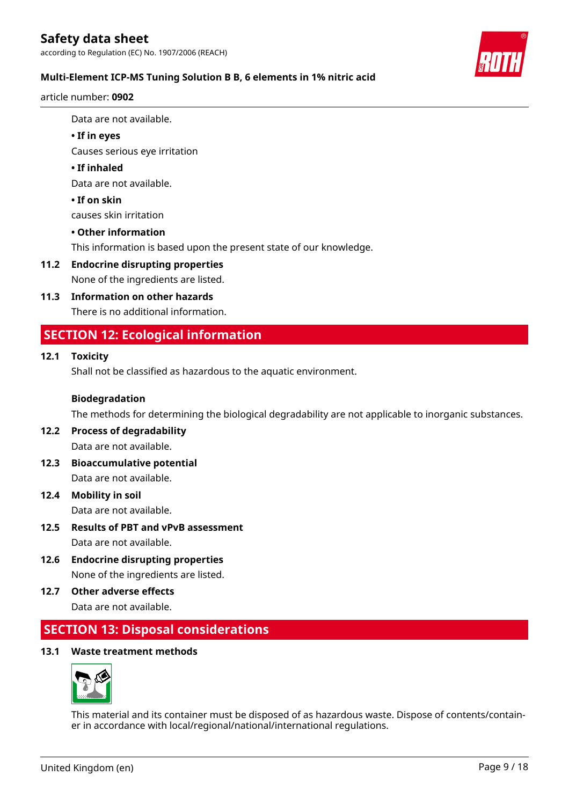according to Regulation (EC) No. 1907/2006 (REACH)



# **Multi-Element ICP-MS Tuning Solution B B, 6 elements in 1% nitric acid**

article number: **0902**

Data are not available.

# **• If in eyes**

Causes serious eye irritation

# **• If inhaled**

Data are not available.

# **• If on skin**

causes skin irritation

# **• Other information**

This information is based upon the present state of our knowledge.

# **11.2 Endocrine disrupting properties**

None of the ingredients are listed.

# **11.3 Information on other hazards**

There is no additional information.

# **SECTION 12: Ecological information**

# **12.1 Toxicity**

Shall not be classified as hazardous to the aquatic environment.

# **Biodegradation**

The methods for determining the biological degradability are not applicable to inorganic substances.

# **12.2 Process of degradability** Data are not available.

- **12.3 Bioaccumulative potential** Data are not available.
- **12.4 Mobility in soil** Data are not available.
- **12.5 Results of PBT and vPvB assessment** Data are not available.
- **12.6 Endocrine disrupting properties** None of the ingredients are listed.
- **12.7 Other adverse effects** Data are not available.

# **SECTION 13: Disposal considerations**

# **13.1 Waste treatment methods**



This material and its container must be disposed of as hazardous waste. Dispose of contents/container in accordance with local/regional/national/international regulations.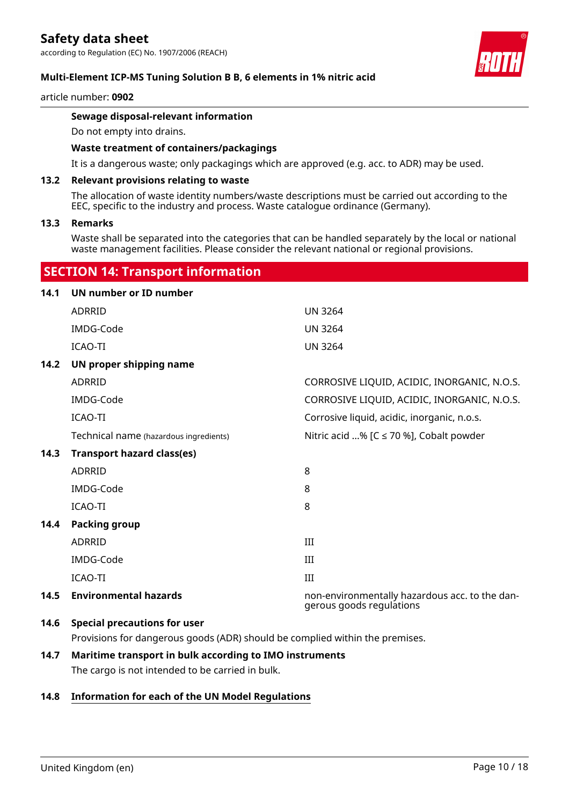according to Regulation (EC) No. 1907/2006 (REACH)

#### **Multi-Element ICP-MS Tuning Solution B B, 6 elements in 1% nitric acid**

#### article number: **0902**

### **Sewage disposal-relevant information**

Do not empty into drains.

#### **Waste treatment of containers/packagings**

It is a dangerous waste; only packagings which are approved (e.g. acc. to ADR) may be used.

#### **13.2 Relevant provisions relating to waste**

The allocation of waste identity numbers/waste descriptions must be carried out according to the EEC, specific to the industry and process. Waste catalogue ordinance (Germany).

#### **13.3 Remarks**

Waste shall be separated into the categories that can be handled separately by the local or national waste management facilities. Please consider the relevant national or regional provisions.

# **SECTION 14: Transport information**

| 14.1 | UN number or ID number                 |                                                                            |
|------|----------------------------------------|----------------------------------------------------------------------------|
|      | ADRRID                                 | <b>UN 3264</b>                                                             |
|      | IMDG-Code                              | <b>UN 3264</b>                                                             |
|      | ICAO-TI                                | <b>UN 3264</b>                                                             |
| 14.2 | UN proper shipping name                |                                                                            |
|      | <b>ADRRID</b>                          | CORROSIVE LIQUID, ACIDIC, INORGANIC, N.O.S.                                |
|      | IMDG-Code                              | CORROSIVE LIQUID, ACIDIC, INORGANIC, N.O.S.                                |
|      | <b>ICAO-TI</b>                         | Corrosive liquid, acidic, inorganic, n.o.s.                                |
|      | Technical name (hazardous ingredients) | Nitric acid % [ $C \le 70$ %], Cobalt powder                               |
| 14.3 | <b>Transport hazard class(es)</b>      |                                                                            |
|      | <b>ADRRID</b>                          | 8                                                                          |
|      | IMDG-Code                              | 8                                                                          |
|      | <b>ICAO-TI</b>                         | 8                                                                          |
| 14.4 | <b>Packing group</b>                   |                                                                            |
|      | <b>ADRRID</b>                          | III                                                                        |
|      | IMDG-Code                              | III                                                                        |
|      | <b>ICAO-TI</b>                         | III                                                                        |
| 14.5 | <b>Environmental hazards</b>           | non-environmentally hazardous acc. to the dan-<br>gerous goods regulations |
| 14.6 | <b>Special precautions for user</b>    |                                                                            |

Provisions for dangerous goods (ADR) should be complied within the premises.

# **14.7 Maritime transport in bulk according to IMO instruments**

The cargo is not intended to be carried in bulk.

## **14.8 Information for each of the UN Model Regulations**

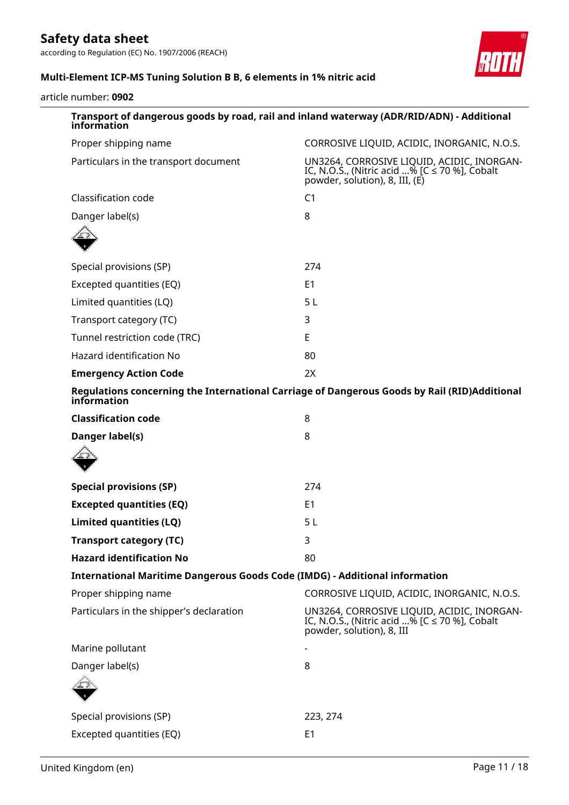according to Regulation (EC) No. 1907/2006 (REACH)



# **Multi-Element ICP-MS Tuning Solution B B, 6 elements in 1% nitric acid**

article number: **0902**

| Transport of dangerous goods by road, rail and inland waterway (ADR/RID/ADN) - Additional<br>information    |                                                                                                                                    |  |  |
|-------------------------------------------------------------------------------------------------------------|------------------------------------------------------------------------------------------------------------------------------------|--|--|
| Proper shipping name                                                                                        | CORROSIVE LIQUID, ACIDIC, INORGANIC, N.O.S.                                                                                        |  |  |
| Particulars in the transport document                                                                       | UN3264, CORROSIVE LIQUID, ACIDIC, INORGAN-<br>IC, N.O.S., (Nitric acid % [C $\leq$ 70 %], Cobalt<br>powder, solution), 8, III, (E) |  |  |
| Classification code                                                                                         | C <sub>1</sub>                                                                                                                     |  |  |
| Danger label(s)                                                                                             | 8                                                                                                                                  |  |  |
|                                                                                                             |                                                                                                                                    |  |  |
| Special provisions (SP)                                                                                     | 274                                                                                                                                |  |  |
| Excepted quantities (EQ)                                                                                    | E <sub>1</sub>                                                                                                                     |  |  |
| Limited quantities (LQ)                                                                                     | 5L                                                                                                                                 |  |  |
| Transport category (TC)                                                                                     | 3                                                                                                                                  |  |  |
| Tunnel restriction code (TRC)                                                                               | E                                                                                                                                  |  |  |
| Hazard identification No                                                                                    | 80                                                                                                                                 |  |  |
| <b>Emergency Action Code</b>                                                                                | 2X                                                                                                                                 |  |  |
| Regulations concerning the International Carriage of Dangerous Goods by Rail (RID)Additional<br>information |                                                                                                                                    |  |  |
| <b>Classification code</b>                                                                                  | 8                                                                                                                                  |  |  |
| Danger label(s)                                                                                             | 8                                                                                                                                  |  |  |
|                                                                                                             |                                                                                                                                    |  |  |
| <b>Special provisions (SP)</b>                                                                              | 274                                                                                                                                |  |  |
| <b>Excepted quantities (EQ)</b>                                                                             | E <sub>1</sub>                                                                                                                     |  |  |
| Limited quantities (LQ)                                                                                     | 5L                                                                                                                                 |  |  |
| Transport category (TC)                                                                                     | 3                                                                                                                                  |  |  |
| <b>Hazard identification No</b>                                                                             | 80                                                                                                                                 |  |  |
| <b>International Maritime Dangerous Goods Code (IMDG) - Additional information</b>                          |                                                                                                                                    |  |  |
| Proper shipping name                                                                                        | CORROSIVE LIQUID, ACIDIC, INORGANIC, N.O.S.                                                                                        |  |  |
| Particulars in the shipper's declaration                                                                    | UN3264, CORROSIVE LIQUID, ACIDIC, INORGAN-<br>IC, N.O.S., (Nitric acid % [C $\leq$ 70 %], Cobalt<br>powder, solution), 8, III      |  |  |
| Marine pollutant                                                                                            |                                                                                                                                    |  |  |
| Danger label(s)                                                                                             | 8                                                                                                                                  |  |  |
|                                                                                                             |                                                                                                                                    |  |  |
| Special provisions (SP)                                                                                     | 223, 274                                                                                                                           |  |  |
| Excepted quantities (EQ)                                                                                    | E <sub>1</sub>                                                                                                                     |  |  |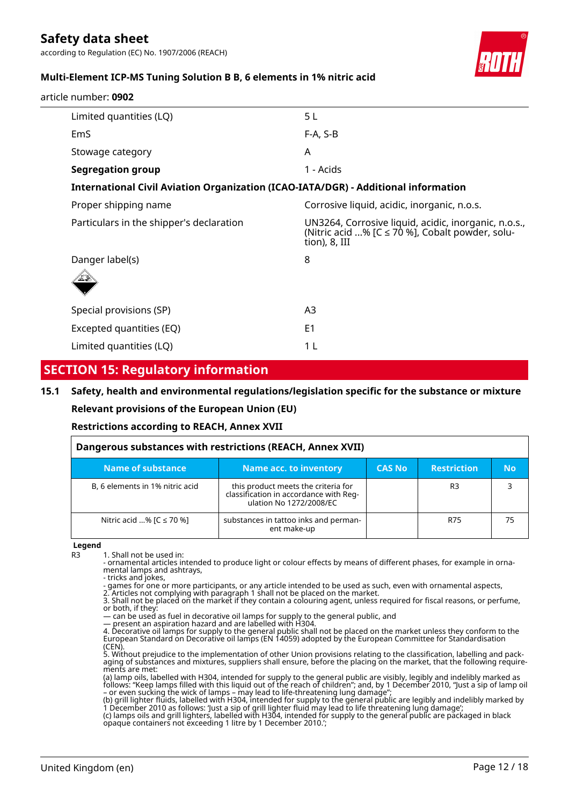according to Regulation (EC) No. 1907/2006 (REACH)



# **Multi-Element ICP-MS Tuning Solution B B, 6 elements in 1% nitric acid**

| article number: <b>0902</b>                                                        |                                                                                                                          |
|------------------------------------------------------------------------------------|--------------------------------------------------------------------------------------------------------------------------|
| Limited quantities (LQ)                                                            | 5 L                                                                                                                      |
| <b>EmS</b>                                                                         | $F-A, S-B$                                                                                                               |
| Stowage category                                                                   | A                                                                                                                        |
| <b>Segregation group</b>                                                           | 1 - Acids                                                                                                                |
| International Civil Aviation Organization (ICAO-IATA/DGR) - Additional information |                                                                                                                          |
| Proper shipping name                                                               | Corrosive liquid, acidic, inorganic, n.o.s.                                                                              |
| Particulars in the shipper's declaration                                           | UN3264, Corrosive liquid, acidic, inorganic, n.o.s.,<br>(Nitric acid % [C ≤ 70 %], Cobalt powder, solu-<br>tion), 8, III |
| Danger label(s)<br>$\curvearrowright$                                              | 8                                                                                                                        |

| $\frac{1}{\sqrt{2}}$     |    |  |
|--------------------------|----|--|
| Special provisions (SP)  | A3 |  |
| Excepted quantities (EQ) | E1 |  |
| Limited quantities (LQ)  |    |  |

# **SECTION 15: Regulatory information**

### **15.1 Safety, health and environmental regulations/legislation specific for the substance or mixture**

### **Relevant provisions of the European Union (EU)**

### **Restrictions according to REACH, Annex XVII**

| Dangerous substances with restrictions (REACH, Annex XVII) |                                                                                                          |               |                    |           |
|------------------------------------------------------------|----------------------------------------------------------------------------------------------------------|---------------|--------------------|-----------|
| Name of substance                                          | Name acc. to inventory                                                                                   | <b>CAS No</b> | <b>Restriction</b> | <b>No</b> |
| B, 6 elements in 1% nitric acid                            | this product meets the criteria for<br>classification in accordance with Reg-<br>ulation No 1272/2008/EC |               | R3                 |           |
| Nitric acid % $[C \le 70$ %]                               | substances in tattoo inks and perman-<br>ent make-up                                                     |               | R75                | 75        |

**Legend**

R3 1. Shall not be used in:

- ornamental articles intended to produce light or colour effects by means of different phases, for example in ornamental lamps and ashtrays,

- tricks and jokes, - games for one or more participants, or any article intended to be used as such, even with ornamental aspects,

2. Articles not complying with paragraph 1 shall not be placed on the market. 3. Shall not be placed on the market if they contain a colouring agent, unless required for fiscal reasons, or perfume,

or both, if they: — can be used as fuel in decorative oil lamps for supply to the general public, and

— present an aspiration hazard and are labelled with H304.

opaque containers not exceeding 1 litre by 1 December 2010.';

4. Decorative oil lamps for supply to the general public shall not be placed on the market unless they conform to the European Standard on Decorative oil lamps (EN 14059) adopted by the European Committee for Standardisation (CEN).

5. Without prejudice to the implementation of other Union provisions relating to the classification, labelling and packaging of substances and mixtures, suppliers shall ensure, before the placing on the market, that the following requirements are met:

(a) lamp oils, labelled with H304, intended for supply to the general public are visibly, legibly and indelibly marked as follows: "Keep lamps filled with this liquid out of the reach of children"; and, by 1 December 2010, "Just a sip of lamp oil – or even sucking the wick of lamps – may lead to life-threatening lung damage";

(b) grill lighter fluids, labelled with H304, intended for supply to the general public are legibly and indelibly marked by 1 December 2010 as follows: 'Just a sip of grill lighter fluid may lead to life threatening lung damage'; (c) lamps oils and grill lighters, labelled with H304, intended for supply to the general public are packaged in black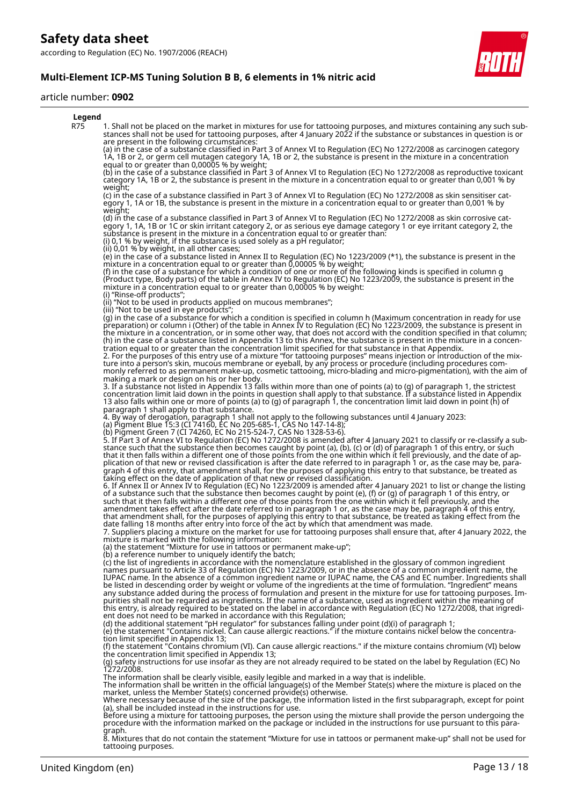**Multi-Element ICP-MS Tuning Solution B B, 6 elements in 1% nitric acid**

#### article number: **0902**



8. Mixtures that do not contain the statement "Mixture for use in tattoos or permanent make-up" shall not be used for tattooing purposes.

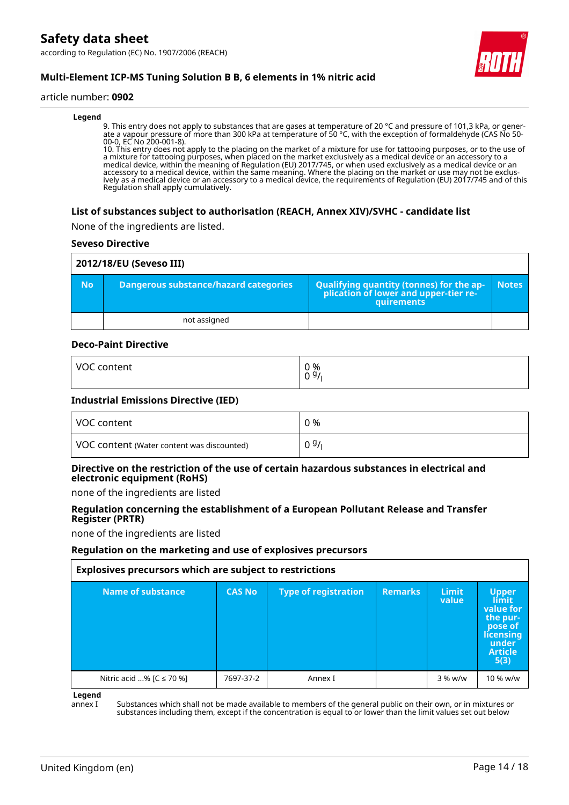according to Regulation (EC) No. 1907/2006 (REACH)



# **Multi-Element ICP-MS Tuning Solution B B, 6 elements in 1% nitric acid**

#### article number: **0902**

#### **Legend**

9. This entry does not apply to substances that are gases at temperature of 20 °C and pressure of 101,3 kPa, or generate a vapour pressure of more than 300 kPa at temperature of 50 °C, with the exception of formaldehyde (CAS No 50- 00-0, EC No 200-001-8).

10. This entry does not apply to the placing on the market of a mixture for use for tattooing purposes, or to the use of a mixture for tattooing purposes, when placed on the market exclusively as a medical device or an accessory to a medical device, within the meaning of Regulation (EU) 2017/745, or when used exclusively as a medical device or an accessory to a medical device, within the same meaning. Where the placing on the market or use may not be exclusively as a medical device or an accessory to a medical device, the requirements of Regulation (EU) 2017/745 and of this Regulation shall apply cumulatively.

#### **List of substances subject to authorisation (REACH, Annex XIV)/SVHC - candidate list**

None of the ingredients are listed.

#### **Seveso Directive**

|           | 2012/18/EU (Seveso III)               |                                                                                                   |              |
|-----------|---------------------------------------|---------------------------------------------------------------------------------------------------|--------------|
| <b>No</b> | Dangerous substance/hazard categories | Qualifying quantity (tonnes) for the application of lower and upper-tier re-<br><b>auirements</b> | <b>Notes</b> |
|           | not assigned                          |                                                                                                   |              |

#### **Deco-Paint Directive**

| <b>VOC</b> | 0 % |
|------------|-----|
| content    | 09/ |
|            |     |

#### **Industrial Emissions Directive (IED)**

| VOC content                                | 0 %  |
|--------------------------------------------|------|
| VOC content (Water content was discounted) | 09/1 |

### **Directive on the restriction of the use of certain hazardous substances in electrical and electronic equipment (RoHS)**

none of the ingredients are listed

#### **Regulation concerning the establishment of a European Pollutant Release and Transfer Register (PRTR)**

none of the ingredients are listed

#### **Regulation on the marketing and use of explosives precursors**

| Explosives precursors which are subject to restrictions |               |                             |                |                       |                                                                                                           |
|---------------------------------------------------------|---------------|-----------------------------|----------------|-----------------------|-----------------------------------------------------------------------------------------------------------|
| Name of substance                                       | <b>CAS No</b> | <b>Type of registration</b> | <b>Remarks</b> | <b>Limit</b><br>value | <b>Upper</b><br>límit<br>value for<br>the pur-<br>pose of<br>licensing<br>under<br><b>Article</b><br>5(3) |
| Nitric acid % [C ≤ 70 %]                                | 7697-37-2     | Annex I                     |                | 3 % w/w               | 10 % w/w                                                                                                  |

**Legend**

annex I Substances which shall not be made available to members of the general public on their own, or in mixtures or substances including them, except if the concentration is equal to or lower than the limit values set out below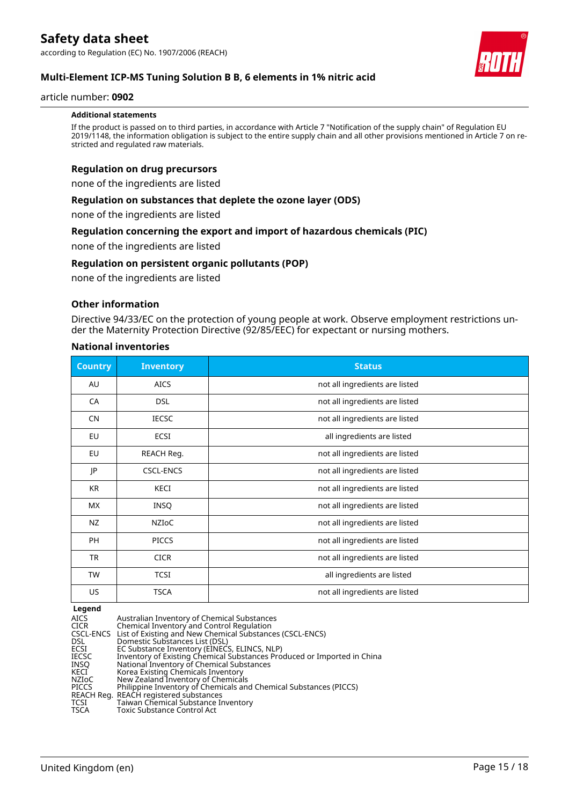

#### article number: **0902**

#### **Additional statements**

If the product is passed on to third parties, in accordance with Article 7 "Notification of the supply chain" of Regulation EU 2019/1148, the information obligation is subject to the entire supply chain and all other provisions mentioned in Article 7 on restricted and regulated raw materials.

#### **Regulation on drug precursors**

none of the ingredients are listed

#### **Regulation on substances that deplete the ozone layer (ODS)**

none of the ingredients are listed

#### **Regulation concerning the export and import of hazardous chemicals (PIC)**

none of the ingredients are listed

#### **Regulation on persistent organic pollutants (POP)**

none of the ingredients are listed

#### **Other information**

Directive 94/33/EC on the protection of young people at work. Observe employment restrictions under the Maternity Protection Directive (92/85/EEC) for expectant or nursing mothers.

#### **National inventories**

| <b>Country</b> | <b>Inventory</b> | <b>Status</b>                  |  |
|----------------|------------------|--------------------------------|--|
| AU             | <b>AICS</b>      | not all ingredients are listed |  |
| CA             | <b>DSL</b>       | not all ingredients are listed |  |
| <b>CN</b>      | <b>IECSC</b>     | not all ingredients are listed |  |
| EU             | <b>ECSI</b>      | all ingredients are listed     |  |
| EU             | REACH Reg.       | not all ingredients are listed |  |
| JP             | <b>CSCL-ENCS</b> | not all ingredients are listed |  |
| KR             | KECI             | not all ingredients are listed |  |
| <b>MX</b>      | <b>INSQ</b>      | not all ingredients are listed |  |
| NZ             | <b>NZIOC</b>     | not all ingredients are listed |  |
| <b>PH</b>      | <b>PICCS</b>     | not all ingredients are listed |  |
| <b>TR</b>      | <b>CICR</b>      | not all ingredients are listed |  |
| <b>TW</b>      | <b>TCSI</b>      | all ingredients are listed     |  |
| <b>US</b>      | <b>TSCA</b>      | not all ingredients are listed |  |

**Legend**

| redena       |                                                                         |
|--------------|-------------------------------------------------------------------------|
| AICS         | Australian Inventory of Chemical Substances                             |
| <b>CICR</b>  | Chemical Inventory and Control Regulation                               |
|              | CSCL-ENCS List of Existing and New Chemical Substances (CSCL-ENCS)      |
| <b>DSL</b>   | Domestic Substances List (DSL)                                          |
| <b>ECSI</b>  | EC Substance Inventory (EINECS, ELINCS, NLP)                            |
| <b>IECSC</b> | Inventory of Existing Chemical Substances Produced or Imported in China |
| INSO         | National Inventory of Chemical Substances                               |
| KECI         | Korea Existing Chemicals Inventory                                      |
| NZIoC        | New Zealand Inventory of Chemicals                                      |
| <b>PICCS</b> | Philippine Inventory of Chemicals and Chemical Substances (PICCS)       |
|              | REACH Reg. REACH registered substances                                  |
| TCSI         | Taiwan Chemical Substance Inventory                                     |
| <b>TSCA</b>  | Toxic Substance Control Act                                             |

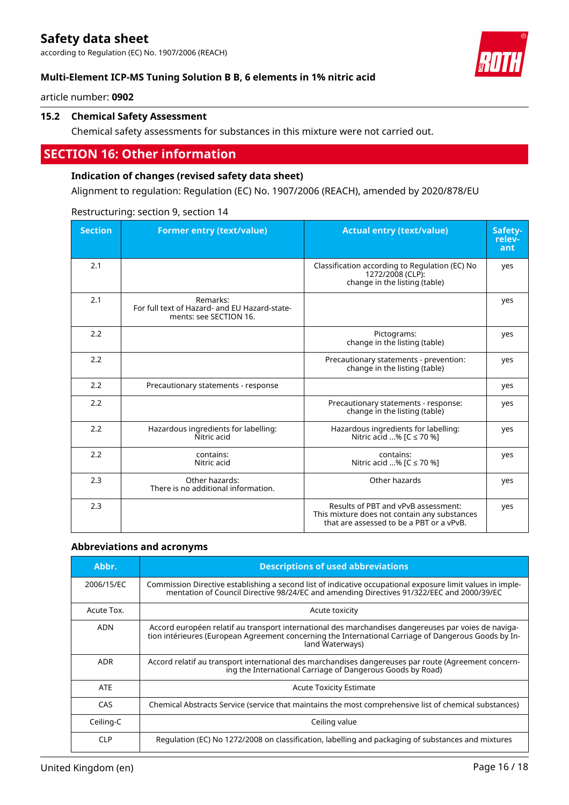according to Regulation (EC) No. 1907/2006 (REACH)



article number: **0902**

## **15.2 Chemical Safety Assessment**

Chemical safety assessments for substances in this mixture were not carried out.

# **SECTION 16: Other information**

#### **Indication of changes (revised safety data sheet)**

Alignment to regulation: Regulation (EC) No. 1907/2006 (REACH), amended by 2020/878/EU

| <b>Section</b> | <b>Former entry (text/value)</b>                                                    | <b>Actual entry (text/value)</b>                                                                                                | Safety-<br>relev-<br>ant |
|----------------|-------------------------------------------------------------------------------------|---------------------------------------------------------------------------------------------------------------------------------|--------------------------|
| 2.1            |                                                                                     | Classification according to Regulation (EC) No<br>1272/2008 (CLP):<br>change in the listing (table)                             | yes                      |
| 2.1            | Remarks:<br>For full text of Hazard- and EU Hazard-state-<br>ments: see SECTION 16. |                                                                                                                                 | yes                      |
| 2.2            |                                                                                     | Pictograms:<br>change in the listing (table)                                                                                    | yes                      |
| 2.2            |                                                                                     | Precautionary statements - prevention:<br>change in the listing (table)                                                         | yes                      |
| 2.2            | Precautionary statements - response                                                 |                                                                                                                                 | yes                      |
| 2.2            |                                                                                     | Precautionary statements - response:<br>change in the listing (table)                                                           | yes                      |
| 2.2            | Hazardous ingredients for labelling:<br>Nitric acid                                 | Hazardous ingredients for labelling:<br>Nitric acid % [C ≤ 70 %]                                                                | yes                      |
| 2.2            | contains:<br>Nitric acid                                                            | contains:<br>Nitric acid % [C ≤ 70 %]                                                                                           | yes                      |
| 2.3            | Other hazards:<br>There is no additional information.                               | Other hazards                                                                                                                   | yes                      |
| 2.3            |                                                                                     | Results of PBT and vPvB assessment:<br>This mixture does not contain any substances<br>that are assessed to be a PBT or a vPvB. | yes                      |

Restructuring: section 9, section 14

#### **Abbreviations and acronyms**

| Abbr.      | <b>Descriptions of used abbreviations</b>                                                                                                                                                                                       |
|------------|---------------------------------------------------------------------------------------------------------------------------------------------------------------------------------------------------------------------------------|
| 2006/15/EC | Commission Directive establishing a second list of indicative occupational exposure limit values in imple-<br>mentation of Council Directive 98/24/EC and amending Directives 91/322/EEC and 2000/39/EC                         |
| Acute Tox. | Acute toxicity                                                                                                                                                                                                                  |
| <b>ADN</b> | Accord européen relatif au transport international des marchandises dangereuses par voies de naviga-<br>tion intérieures (European Agreement concerning the International Carriage of Dangerous Goods by In-<br>land Waterways) |
| <b>ADR</b> | Accord relatif au transport international des marchandises dangereuses par route (Agreement concern-<br>ing the International Carriage of Dangerous Goods by Road)                                                              |
| <b>ATE</b> | <b>Acute Toxicity Estimate</b>                                                                                                                                                                                                  |
| CAS        | Chemical Abstracts Service (service that maintains the most comprehensive list of chemical substances)                                                                                                                          |
| Ceiling-C  | Ceiling value                                                                                                                                                                                                                   |
| CI P       | Requlation (EC) No 1272/2008 on classification, labelling and packaging of substances and mixtures                                                                                                                              |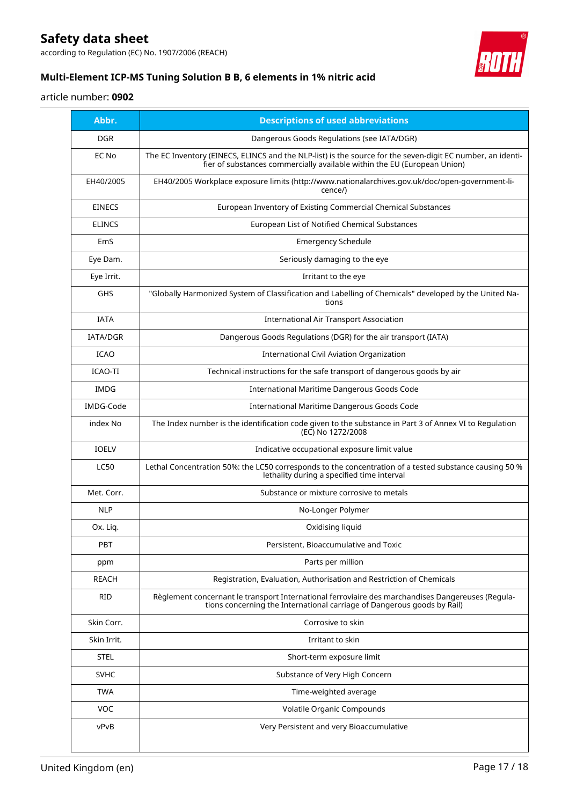according to Regulation (EC) No. 1907/2006 (REACH)



# **Multi-Element ICP-MS Tuning Solution B B, 6 elements in 1% nitric acid**

# article number: **0902**

| Abbr.           | <b>Descriptions of used abbreviations</b>                                                                                                                                              |
|-----------------|----------------------------------------------------------------------------------------------------------------------------------------------------------------------------------------|
| <b>DGR</b>      | Dangerous Goods Regulations (see IATA/DGR)                                                                                                                                             |
| EC No           | The EC Inventory (EINECS, ELINCS and the NLP-list) is the source for the seven-digit EC number, an identi-<br>fier of substances commercially available within the EU (European Union) |
| EH40/2005       | EH40/2005 Workplace exposure limits (http://www.nationalarchives.gov.uk/doc/open-government-li-<br>cence/)                                                                             |
| <b>EINECS</b>   | European Inventory of Existing Commercial Chemical Substances                                                                                                                          |
| <b>ELINCS</b>   | European List of Notified Chemical Substances                                                                                                                                          |
| EmS             | <b>Emergency Schedule</b>                                                                                                                                                              |
| Eye Dam.        | Seriously damaging to the eye                                                                                                                                                          |
| Eye Irrit.      | Irritant to the eye                                                                                                                                                                    |
| GHS             | "Globally Harmonized System of Classification and Labelling of Chemicals" developed by the United Na-<br>tions                                                                         |
| <b>IATA</b>     | <b>International Air Transport Association</b>                                                                                                                                         |
| <b>IATA/DGR</b> | Dangerous Goods Regulations (DGR) for the air transport (IATA)                                                                                                                         |
| <b>ICAO</b>     | <b>International Civil Aviation Organization</b>                                                                                                                                       |
| ICAO-TI         | Technical instructions for the safe transport of dangerous goods by air                                                                                                                |
| <b>IMDG</b>     | <b>International Maritime Dangerous Goods Code</b>                                                                                                                                     |
| IMDG-Code       | International Maritime Dangerous Goods Code                                                                                                                                            |
| index No        | The Index number is the identification code given to the substance in Part 3 of Annex VI to Regulation<br>(EC) No 1272/2008                                                            |
| <b>IOELV</b>    | Indicative occupational exposure limit value                                                                                                                                           |
| <b>LC50</b>     | Lethal Concentration 50%: the LC50 corresponds to the concentration of a tested substance causing 50 %<br>lethality during a specified time interval                                   |
| Met. Corr.      | Substance or mixture corrosive to metals                                                                                                                                               |
| <b>NLP</b>      | No-Longer Polymer                                                                                                                                                                      |
| Ox. Liq.        | Oxidising liquid                                                                                                                                                                       |
| <b>PBT</b>      | Persistent, Bioaccumulative and Toxic                                                                                                                                                  |
| ppm             | Parts per million                                                                                                                                                                      |
| <b>REACH</b>    | Registration, Evaluation, Authorisation and Restriction of Chemicals                                                                                                                   |
| <b>RID</b>      | Règlement concernant le transport International ferroviaire des marchandises Dangereuses (Regula-<br>tions concerning the International carriage of Dangerous goods by Rail)           |
| Skin Corr.      | Corrosive to skin                                                                                                                                                                      |
| Skin Irrit.     | Irritant to skin                                                                                                                                                                       |
| <b>STEL</b>     | Short-term exposure limit                                                                                                                                                              |
| <b>SVHC</b>     | Substance of Very High Concern                                                                                                                                                         |
| <b>TWA</b>      | Time-weighted average                                                                                                                                                                  |
| <b>VOC</b>      | Volatile Organic Compounds                                                                                                                                                             |
| vPvB            | Very Persistent and very Bioaccumulative                                                                                                                                               |